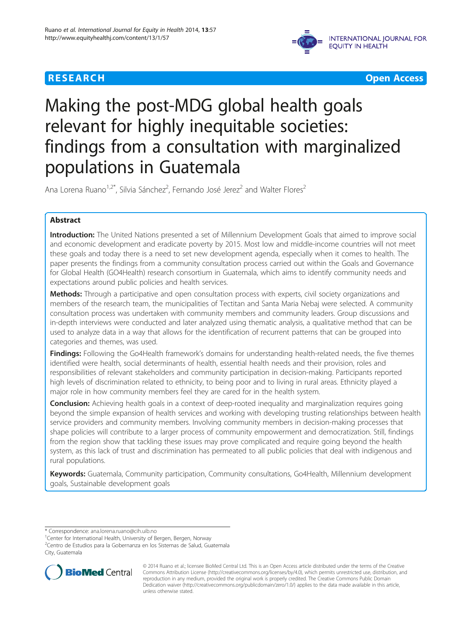

**RESEARCH CHE Open Access** 

# Making the post-MDG global health goals relevant for highly inequitable societies: findings from a consultation with marginalized populations in Guatemala

Ana Lorena Ruano<sup>1,2\*</sup>, Silvia Sánchez<sup>2</sup>, Fernando José Jerez<sup>2</sup> and Walter Flores<sup>2</sup>

# Abstract

Introduction: The United Nations presented a set of Millennium Development Goals that aimed to improve social and economic development and eradicate poverty by 2015. Most low and middle-income countries will not meet these goals and today there is a need to set new development agenda, especially when it comes to health. The paper presents the findings from a community consultation process carried out within the Goals and Governance for Global Health (GO4Health) research consortium in Guatemala, which aims to identify community needs and expectations around public policies and health services.

Methods: Through a participative and open consultation process with experts, civil society organizations and members of the research team, the municipalities of Tectitan and Santa Maria Nebaj were selected. A community consultation process was undertaken with community members and community leaders. Group discussions and in-depth interviews were conducted and later analyzed using thematic analysis, a qualitative method that can be used to analyze data in a way that allows for the identification of recurrent patterns that can be grouped into categories and themes, was used.

Findings: Following the Go4Health framework's domains for understanding health-related needs, the five themes identified were health, social determinants of health, essential health needs and their provision, roles and responsibilities of relevant stakeholders and community participation in decision-making. Participants reported high levels of discrimination related to ethnicity, to being poor and to living in rural areas. Ethnicity played a major role in how community members feel they are cared for in the health system.

**Conclusion:** Achieving health goals in a context of deep-rooted inequality and marginalization requires going beyond the simple expansion of health services and working with developing trusting relationships between health service providers and community members. Involving community members in decision-making processes that shape policies will contribute to a larger process of community empowerment and democratization. Still, findings from the region show that tackling these issues may prove complicated and require going beyond the health system, as this lack of trust and discrimination has permeated to all public policies that deal with indigenous and rural populations.

Keywords: Guatemala, Community participation, Community consultations, Go4Health, Millennium development goals, Sustainable development goals

\* Correspondence: [ana.lorena.ruano@cih.uib.no](mailto:ana.lorena.ruano@cih.uib.no) <sup>1</sup>

<sup>1</sup> Center for International Health, University of Bergen, Bergen, Norway

2 Centro de Estudios para la Gobernanza en los Sistemas de Salud, Guatemala City, Guatemala



© 2014 Ruano et al.; licensee BioMed Central Ltd. This is an Open Access article distributed under the terms of the Creative Commons Attribution License [\(http://creativecommons.org/licenses/by/4.0\)](http://creativecommons.org/licenses/by/4.0), which permits unrestricted use, distribution, and reproduction in any medium, provided the original work is properly credited. The Creative Commons Public Domain Dedication waiver [\(http://creativecommons.org/publicdomain/zero/1.0/](http://creativecommons.org/publicdomain/zero/1.0/)) applies to the data made available in this article, unless otherwise stated.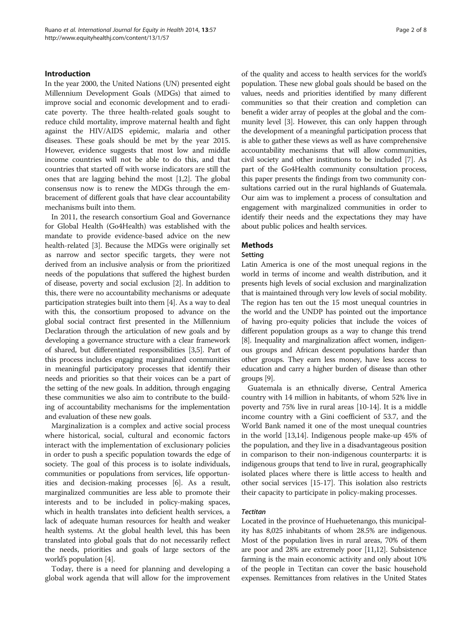### Introduction

In the year 2000, the United Nations (UN) presented eight Millennium Development Goals (MDGs) that aimed to improve social and economic development and to eradicate poverty. The three health-related goals sought to reduce child mortality, improve maternal health and fight against the HIV/AIDS epidemic, malaria and other diseases. These goals should be met by the year 2015. However, evidence suggests that most low and middle income countries will not be able to do this, and that countries that started off with worse indicators are still the ones that are lagging behind the most [\[1,2\]](#page-7-0). The global consensus now is to renew the MDGs through the embracement of different goals that have clear accountability mechanisms built into them.

In 2011, the research consortium Goal and Governance for Global Health (Go4Health) was established with the mandate to provide evidence-based advice on the new health-related [[3\]](#page-7-0). Because the MDGs were originally set as narrow and sector specific targets, they were not derived from an inclusive analysis or from the prioritized needs of the populations that suffered the highest burden of disease, poverty and social exclusion [\[2\]](#page-7-0). In addition to this, there were no accountability mechanisms or adequate participation strategies built into them [\[4](#page-7-0)]. As a way to deal with this, the consortium proposed to advance on the global social contract first presented in the Millennium Declaration through the articulation of new goals and by developing a governance structure with a clear framework of shared, but differentiated responsibilities [\[3,5\]](#page-7-0). Part of this process includes engaging marginalized communities in meaningful participatory processes that identify their needs and priorities so that their voices can be a part of the setting of the new goals. In addition, through engaging these communities we also aim to contribute to the building of accountability mechanisms for the implementation and evaluation of these new goals.

Marginalization is a complex and active social process where historical, social, cultural and economic factors interact with the implementation of exclusionary policies in order to push a specific population towards the edge of society. The goal of this process is to isolate individuals, communities or populations from services, life opportunities and decision-making processes [[6](#page-7-0)]. As a result, marginalized communities are less able to promote their interests and to be included in policy-making spaces, which in health translates into deficient health services, a lack of adequate human resources for health and weaker health systems. At the global health level, this has been translated into global goals that do not necessarily reflect the needs, priorities and goals of large sectors of the world's population [\[4](#page-7-0)].

Today, there is a need for planning and developing a global work agenda that will allow for the improvement of the quality and access to health services for the world's population. These new global goals should be based on the values, needs and priorities identified by many different communities so that their creation and completion can benefit a wider array of peoples at the global and the community level [[3\]](#page-7-0). However, this can only happen through the development of a meaningful participation process that is able to gather these views as well as have comprehensive accountability mechanisms that will allow communities, civil society and other institutions to be included [\[7\]](#page-7-0). As part of the Go4Health community consultation process, this paper presents the findings from two community consultations carried out in the rural highlands of Guatemala. Our aim was to implement a process of consultation and engagement with marginalized communities in order to identify their needs and the expectations they may have about public polices and health services.

# Methods

### Setting

Latin America is one of the most unequal regions in the world in terms of income and wealth distribution, and it presents high levels of social exclusion and marginalization that is maintained through very low levels of social mobility. The region has ten out the 15 most unequal countries in the world and the UNDP has pointed out the importance of having pro-equity policies that include the voices of different population groups as a way to change this trend [[8](#page-7-0)]. Inequality and marginalization affect women, indigenous groups and African descent populations harder than other groups. They earn less money, have less access to education and carry a higher burden of disease than other groups [\[9\]](#page-7-0).

Guatemala is an ethnically diverse, Central America country with 14 million in habitants, of whom 52% live in poverty and 75% live in rural areas [\[10-14\]](#page-7-0). It is a middle income country with a Gini coefficient of 53.7, and the World Bank named it one of the most unequal countries in the world [[13,14\]](#page-7-0). Indigenous people make-up 45% of the population, and they live in a disadvantageous position in comparison to their non-indigenous counterparts: it is indigenous groups that tend to live in rural, geographically isolated places where there is little access to health and other social services [[15-17\]](#page-7-0). This isolation also restricts their capacity to participate in policy-making processes.

Located in the province of Huehuetenango, this municipality has 8,025 inhabitants of whom 28.5% are indigenous. Most of the population lives in rural areas, 70% of them are poor and 28% are extremely poor [\[11,12](#page-7-0)]. Subsistence farming is the main economic activity and only about 10% of the people in Tectitan can cover the basic household expenses. Remittances from relatives in the United States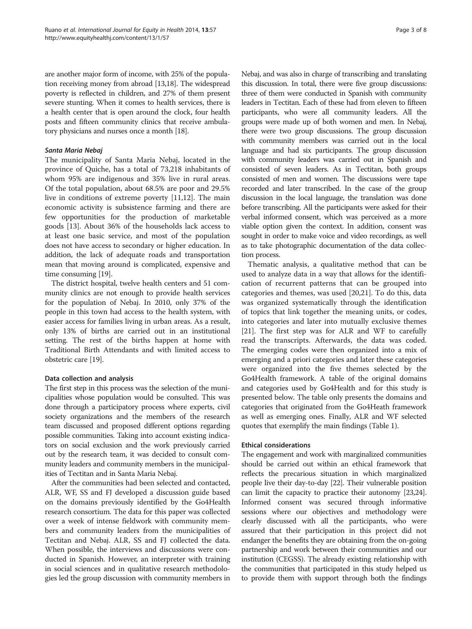are another major form of income, with 25% of the population receiving money from abroad [[13,18\]](#page-7-0). The widespread poverty is reflected in children, and 27% of them present severe stunting. When it comes to health services, there is a health center that is open around the clock, four health posts and fifteen community clinics that receive ambulatory physicians and nurses once a month [[18](#page-7-0)].

The municipality of Santa Maria Nebaj, located in the province of Quiche, has a total of 73,218 inhabitants of whom 95% are indigenous and 35% live in rural areas. Of the total population, about 68.5% are poor and 29.5% live in conditions of extreme poverty [\[11,12\]](#page-7-0). The main economic activity is subsistence farming and there are few opportunities for the production of marketable goods [\[13](#page-7-0)]. About 36% of the households lack access to at least one basic service, and most of the population does not have access to secondary or higher education. In addition, the lack of adequate roads and transportation mean that moving around is complicated, expensive and time consuming [\[19\]](#page-7-0).

The district hospital, twelve health centers and 51 community clinics are not enough to provide health services for the population of Nebaj. In 2010, only 37% of the people in this town had access to the health system, with easier access for families living in urban areas. As a result, only 13% of births are carried out in an institutional setting. The rest of the births happen at home with Traditional Birth Attendants and with limited access to obstetric care [\[19\]](#page-7-0).

# Data collection and analysis

The first step in this process was the selection of the municipalities whose population would be consulted. This was done through a participatory process where experts, civil society organizations and the members of the research team discussed and proposed different options regarding possible communities. Taking into account existing indicators on social exclusion and the work previously carried out by the research team, it was decided to consult community leaders and community members in the municipalities of Tectitan and in Santa Maria Nebaj.

After the communities had been selected and contacted, ALR, WF, SS and FJ developed a discussion guide based on the domains previously identified by the Go4Health research consortium. The data for this paper was collected over a week of intense fieldwork with community members and community leaders from the municipalities of Tectitan and Nebaj. ALR, SS and FJ collected the data. When possible, the interviews and discussions were conducted in Spanish. However, an interpreter with training in social sciences and in qualitative research methodologies led the group discussion with community members in Nebaj, and was also in charge of transcribing and translating this discussion. In total, there were five group discussions: three of them were conducted in Spanish with community leaders in Tectitan. Each of these had from eleven to fifteen participants, who were all community leaders. All the groups were made up of both women and men. In Nebaj, there were two group discussions. The group discussion with community members was carried out in the local language and had six participants. The group discussion with community leaders was carried out in Spanish and consisted of seven leaders. As in Tectitan, both groups consisted of men and women. The discussions were tape recorded and later transcribed. In the case of the group discussion in the local language, the translation was done before transcribing. All the participants were asked for their verbal informed consent, which was perceived as a more viable option given the context. In addition, consent was sought in order to make voice and video recordings, as well as to take photographic documentation of the data collection process.

Thematic analysis, a qualitative method that can be used to analyze data in a way that allows for the identification of recurrent patterns that can be grouped into categories and themes, was used [[20,21](#page-7-0)]. To do this, data was organized systematically through the identification of topics that link together the meaning units, or codes, into categories and later into mutually exclusive themes [[21\]](#page-7-0). The first step was for ALR and WF to carefully read the transcripts. Afterwards, the data was coded. The emerging codes were then organized into a mix of emerging and a priori categories and later these categories were organized into the five themes selected by the Go4Health framework. A table of the original domains and categories used by Go4Health and for this study is presented below. The table only presents the domains and categories that originated from the Go4Heath framework as well as emerging ones. Finally, ALR and WF selected quotes that exemplify the main findings (Table [1](#page-3-0)).

#### Ethical considerations

The engagement and work with marginalized communities should be carried out within an ethical framework that reflects the precarious situation in which marginalized people live their day-to-day [\[22\]](#page-7-0). Their vulnerable position can limit the capacity to practice their autonomy [\[23,24](#page-7-0)]. Informed consent was secured through informative sessions where our objectives and methodology were clearly discussed with all the participants, who were assured that their participation in this project did not endanger the benefits they are obtaining from the on-going partnership and work between their communities and our institution (CEGSS). The already existing relationship with the communities that participated in this study helped us to provide them with support through both the findings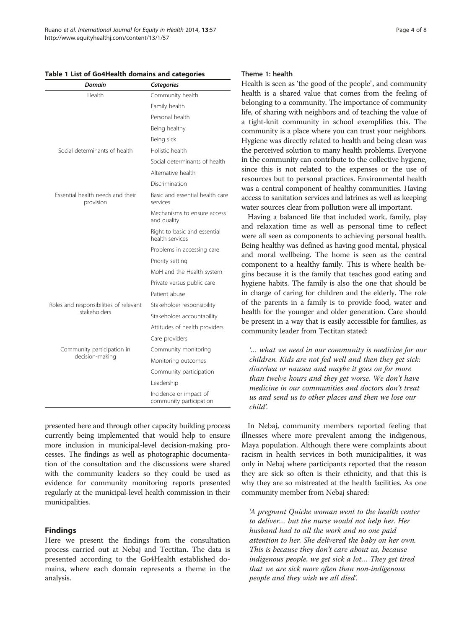<span id="page-3-0"></span>Table 1 List of Go4Health domains and categories

| Domain                                                 | <b>Categories</b>                                 |
|--------------------------------------------------------|---------------------------------------------------|
| Health                                                 | Community health                                  |
|                                                        | Family health                                     |
|                                                        | Personal health                                   |
|                                                        | Being healthy                                     |
|                                                        | Being sick                                        |
| Social determinants of health                          | Holistic health                                   |
|                                                        | Social determinants of health                     |
|                                                        | Alternative health                                |
|                                                        | Discrimination                                    |
| Essential health needs and their<br>provision          | Basic and essential health care<br>services       |
|                                                        | Mechanisms to ensure access<br>and quality        |
|                                                        | Right to basic and essential<br>health services   |
|                                                        | Problems in accessing care                        |
|                                                        | Priority setting                                  |
|                                                        | MoH and the Health system                         |
|                                                        | Private versus public care                        |
|                                                        | Patient abuse                                     |
| Roles and responsibilities of relevant<br>stakeholders | Stakeholder responsibility                        |
|                                                        | Stakeholder accountability                        |
|                                                        | Attitudes of health providers                     |
|                                                        | Care providers                                    |
| Community participation in<br>decision-making          | Community monitoring                              |
|                                                        | Monitoring outcomes                               |
|                                                        | Community participation                           |
|                                                        | Leadership                                        |
|                                                        | Incidence or impact of<br>community participation |

presented here and through other capacity building process currently being implemented that would help to ensure more inclusion in municipal-level decision-making processes. The findings as well as photographic documentation of the consultation and the discussions were shared with the community leaders so they could be used as evidence for community monitoring reports presented regularly at the municipal-level health commission in their municipalities.

# Findings

Here we present the findings from the consultation process carried out at Nebaj and Tectitan. The data is presented according to the Go4Health established domains, where each domain represents a theme in the analysis.

### Theme 1: health

Health is seen as 'the good of the people', and community health is a shared value that comes from the feeling of belonging to a community. The importance of community life, of sharing with neighbors and of teaching the value of a tight-knit community in school exemplifies this. The community is a place where you can trust your neighbors. Hygiene was directly related to health and being clean was the perceived solution to many health problems. Everyone in the community can contribute to the collective hygiene, since this is not related to the expenses or the use of resources but to personal practices. Environmental health was a central component of healthy communities. Having access to sanitation services and latrines as well as keeping water sources clear from pollution were all important.

Having a balanced life that included work, family, play and relaxation time as well as personal time to reflect were all seen as components to achieving personal health. Being healthy was defined as having good mental, physical and moral wellbeing. The home is seen as the central component to a healthy family. This is where health begins because it is the family that teaches good eating and hygiene habits. The family is also the one that should be in charge of caring for children and the elderly. The role of the parents in a family is to provide food, water and health for the younger and older generation. Care should be present in a way that is easily accessible for families, as community leader from Tectitan stated:

'… what we need in our community is medicine for our children. Kids are not fed well and then they get sick: diarrhea or nausea and maybe it goes on for more than twelve hours and they get worse. We don't have medicine in our communities and doctors don't treat us and send us to other places and then we lose our child'.

In Nebaj, community members reported feeling that illnesses where more prevalent among the indigenous, Maya population. Although there were complaints about racism in health services in both municipalities, it was only in Nebaj where participants reported that the reason they are sick so often is their ethnicity, and that this is why they are so mistreated at the health facilities. As one community member from Nebaj shared:

'A pregnant Quiche woman went to the health center to deliver… but the nurse would not help her. Her husband had to all the work and no one paid attention to her. She delivered the baby on her own. This is because they don't care about us, because indigenous people, we get sick a lot… They get tired that we are sick more often than non-indigenous people and they wish we all died'.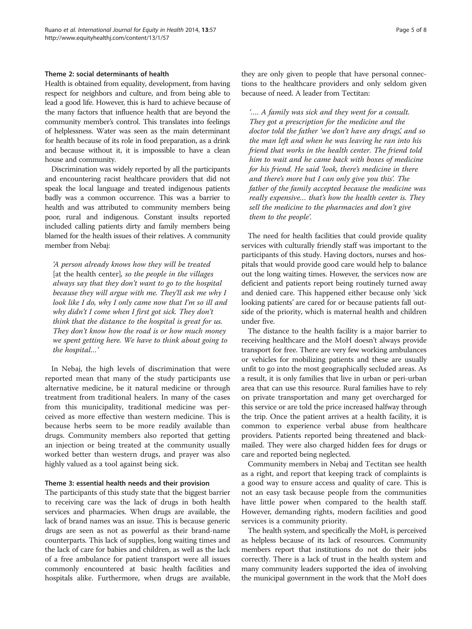#### Theme 2: social determinants of health

Health is obtained from equality, development, from having respect for neighbors and culture, and from being able to lead a good life. However, this is hard to achieve because of the many factors that influence health that are beyond the community member's control. This translates into feelings of helplessness. Water was seen as the main determinant for health because of its role in food preparation, as a drink and because without it, it is impossible to have a clean house and community.

Discrimination was widely reported by all the participants and encountering racist healthcare providers that did not speak the local language and treated indigenous patients badly was a common occurrence. This was a barrier to health and was attributed to community members being poor, rural and indigenous. Constant insults reported included calling patients dirty and family members being blamed for the health issues of their relatives. A community member from Nebaj:

'A person already knows how they will be treated [at the health center], so the people in the villages always say that they don't want to go to the hospital because they will argue with me. They'll ask me why I look like I do, why I only came now that I'm so ill and why didn't I come when I first got sick. They don't think that the distance to the hospital is great for us. They don't know how the road is or how much money we spent getting here. We have to think about going to the hospital…'

In Nebaj, the high levels of discrimination that were reported mean that many of the study participants use alternative medicine, be it natural medicine or through treatment from traditional healers. In many of the cases from this municipality, traditional medicine was perceived as more effective than western medicine. This is because herbs seem to be more readily available than drugs. Community members also reported that getting an injection or being treated at the community usually worked better than western drugs, and prayer was also highly valued as a tool against being sick.

### Theme 3: essential health needs and their provision

The participants of this study state that the biggest barrier to receiving care was the lack of drugs in both health services and pharmacies. When drugs are available, the lack of brand names was an issue. This is because generic drugs are seen as not as powerful as their brand-name counterparts. This lack of supplies, long waiting times and the lack of care for babies and children, as well as the lack of a free ambulance for patient transport were all issues commonly encountered at basic health facilities and hospitals alike. Furthermore, when drugs are available, they are only given to people that have personal connections to the healthcare providers and only seldom given because of need. A leader from Tectitan:

'…. A family was sick and they went for a consult. They got a prescription for the medicine and the doctor told the father 'we don't have any drugs', and so the man left and when he was leaving he ran into his friend that works in the health center. The friend told him to wait and he came back with boxes of medicine for his friend. He said 'look, there's medicine in there and there's more but I can only give you this'. The father of the family accepted because the medicine was really expensive… that's how the health center is. They sell the medicine to the pharmacies and don't give them to the people'.

The need for health facilities that could provide quality services with culturally friendly staff was important to the participants of this study. Having doctors, nurses and hospitals that would provide good care would help to balance out the long waiting times. However, the services now are deficient and patients report being routinely turned away and denied care. This happened either because only 'sick looking patients' are cared for or because patients fall outside of the priority, which is maternal health and children under five.

The distance to the health facility is a major barrier to receiving healthcare and the MoH doesn't always provide transport for free. There are very few working ambulances or vehicles for mobilizing patients and these are usually unfit to go into the most geographically secluded areas. As a result, it is only families that live in urban or peri-urban area that can use this resource. Rural families have to rely on private transportation and many get overcharged for this service or are told the price increased halfway through the trip. Once the patient arrives at a health facility, it is common to experience verbal abuse from healthcare providers. Patients reported being threatened and blackmailed. They were also charged hidden fees for drugs or care and reported being neglected.

Community members in Nebaj and Tectitan see health as a right, and report that keeping track of complaints is a good way to ensure access and quality of care. This is not an easy task because people from the communities have little power when compared to the health staff. However, demanding rights, modern facilities and good services is a community priority.

The health system, and specifically the MoH, is perceived as helpless because of its lack of resources. Community members report that institutions do not do their jobs correctly. There is a lack of trust in the health system and many community leaders supported the idea of involving the municipal government in the work that the MoH does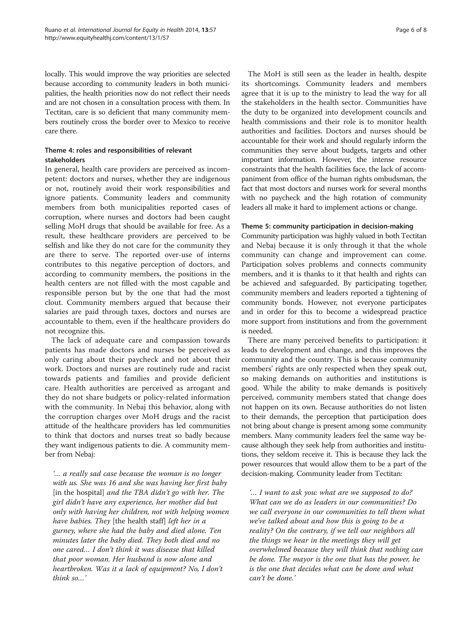locally. This would improve the way priorities are selected because according to community leaders in both municipalities, the health priorities now do not reflect their needs and are not chosen in a consultation process with them. In Tectitan, care is so deficient that many community members routinely cross the border over to Mexico to receive care there.

# Theme 4: roles and responsibilities of relevant stakeholders

In general, health care providers are perceived as incompetent: doctors and nurses, whether they are indigenous or not, routinely avoid their work responsibilities and ignore patients. Community leaders and community members from both municipalities reported cases of corruption, where nurses and doctors had been caught selling MoH drugs that should be available for free. As a result, these healthcare providers are perceived to be selfish and like they do not care for the community they are there to serve. The reported over-use of interns contributes to this negative perception of doctors, and according to community members, the positions in the health centers are not filled with the most capable and responsible person but by the one that had the most clout. Community members argued that because their salaries are paid through taxes, doctors and nurses are accountable to them, even if the healthcare providers do not recognize this.

The lack of adequate care and compassion towards patients has made doctors and nurses be perceived as only caring about their paycheck and not about their work. Doctors and nurses are routinely rude and racist towards patients and families and provide deficient care. Health authorities are perceived as arrogant and they do not share budgets or policy-related information with the community. In Nebaj this behavior, along with the corruption charges over MoH drugs and the racist attitude of the healthcare providers has led communities to think that doctors and nurses treat so badly because they want indigenous patients to die. A community member from Nebaj:

'… a really sad case because the woman is no longer with us. She was 16 and she was having her first baby [in the hospital] and the TBA didn't go with her. The girl didn't have any experience, her mother did but only with having her children, not with helping women have babies. They [the health staff] left her in a gurney, where she had the baby and died alone. Ten minutes later the baby died. They both died and no one cared… I don't think it was disease that killed that poor woman. Her husband is now alone and heartbroken. Was it a lack of equipment? No, I don't think so…'

The MoH is still seen as the leader in health, despite its shortcomings. Community leaders and members agree that it is up to the ministry to lead the way for all the stakeholders in the health sector. Communities have the duty to be organized into development councils and health commissions and their role is to monitor health authorities and facilities. Doctors and nurses should be accountable for their work and should regularly inform the communities they serve about budgets, targets and other important information. However, the intense resource constraints that the health facilities face, the lack of accompaniment from office of the human rights ombudsman, the fact that most doctors and nurses work for several months with no paycheck and the high rotation of community leaders all make it hard to implement actions or change.

#### Theme 5: community participation in decision-making

Community participation was highly valued in both Tectitan and Nebaj because it is only through it that the whole community can change and improvement can come. Participation solves problems and connects community members, and it is thanks to it that health and rights can be achieved and safeguarded. By participating together, community members and leaders reported a tightening of community bonds. However, not everyone participates and in order for this to become a widespread practice more support from institutions and from the government is needed.

There are many perceived benefits to participation: it leads to development and change, and this improves the community and the country. This is because community members' rights are only respected when they speak out, so making demands on authorities and institutions is good. While the ability to make demands is positively perceived, community members stated that change does not happen on its own. Because authorities do not listen to their demands, the perception that participation does not bring about change is present among some community members. Many community leaders feel the same way because although they seek help from authorities and institutions, they seldom receive it. This is because they lack the power resources that would allow them to be a part of the decision-making. Community leader from Tectitan:

'… I want to ask you: what are we supposed to do? What can we do as leaders in our communities? Do we call everyone in our communities to tell them what we've talked about and how this is going to be a reality? On the contrary, if we tell our neighbors all the things we hear in the meetings they will get overwhelmed because they will think that nothing can be done. The mayor is the one that has the power, he is the one that decides what can be done and what can't be done.'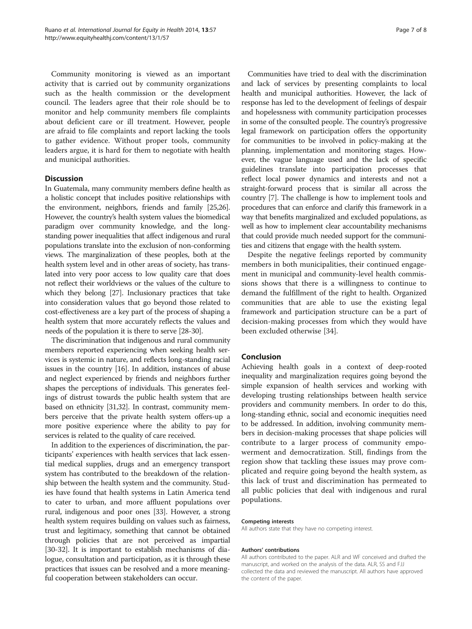Community monitoring is viewed as an important activity that is carried out by community organizations such as the health commission or the development council. The leaders agree that their role should be to monitor and help community members file complaints about deficient care or ill treatment. However, people are afraid to file complaints and report lacking the tools to gather evidence. Without proper tools, community leaders argue, it is hard for them to negotiate with health and municipal authorities.

#### **Discussion**

In Guatemala, many community members define health as a holistic concept that includes positive relationships with the environment, neighbors, friends and family [\[25,26](#page-7-0)]. However, the country's health system values the biomedical paradigm over community knowledge, and the longstanding power inequalities that affect indigenous and rural populations translate into the exclusion of non-conforming views. The marginalization of these peoples, both at the health system level and in other areas of society, has translated into very poor access to low quality care that does not reflect their worldviews or the values of the culture to which they belong [\[27\]](#page-7-0). Inclusionary practices that take into consideration values that go beyond those related to cost-effectiveness are a key part of the process of shaping a health system that more accurately reflects the values and needs of the population it is there to serve [[28](#page-7-0)-[30](#page-7-0)].

The discrimination that indigenous and rural community members reported experiencing when seeking health services is systemic in nature, and reflects long-standing racial issues in the country [\[16\]](#page-7-0). In addition, instances of abuse and neglect experienced by friends and neighbors further shapes the perceptions of individuals. This generates feelings of distrust towards the public health system that are based on ethnicity [[31,32\]](#page-7-0). In contrast, community members perceive that the private health system offers-up a more positive experience where the ability to pay for services is related to the quality of care received.

In addition to the experiences of discrimination, the participants' experiences with health services that lack essential medical supplies, drugs and an emergency transport system has contributed to the breakdown of the relationship between the health system and the community. Studies have found that health systems in Latin America tend to cater to urban, and more affluent populations over rural, indigenous and poor ones [[33](#page-7-0)]. However, a strong health system requires building on values such as fairness, trust and legitimacy, something that cannot be obtained through policies that are not perceived as impartial [[30](#page-7-0)-[32\]](#page-7-0). It is important to establish mechanisms of dialogue, consultation and participation, as it is through these practices that issues can be resolved and a more meaningful cooperation between stakeholders can occur.

Communities have tried to deal with the discrimination and lack of services by presenting complaints to local health and municipal authorities. However, the lack of response has led to the development of feelings of despair and hopelessness with community participation processes in some of the consulted people. The country's progressive legal framework on participation offers the opportunity for communities to be involved in policy-making at the planning, implementation and monitoring stages. However, the vague language used and the lack of specific guidelines translate into participation processes that reflect local power dynamics and interests and not a straight-forward process that is similar all across the country [[7\]](#page-7-0). The challenge is how to implement tools and procedures that can enforce and clarify this framework in a way that benefits marginalized and excluded populations, as well as how to implement clear accountability mechanisms that could provide much needed support for the communities and citizens that engage with the health system.

Despite the negative feelings reported by community members in both municipalities, their continued engagement in municipal and community-level health commissions shows that there is a willingness to continue to demand the fulfillment of the right to health. Organized communities that are able to use the existing legal framework and participation structure can be a part of decision-making processes from which they would have been excluded otherwise [[34](#page-7-0)].

# Conclusion

Achieving health goals in a context of deep-rooted inequality and marginalization requires going beyond the simple expansion of health services and working with developing trusting relationships between health service providers and community members. In order to do this, long-standing ethnic, social and economic inequities need to be addressed. In addition, involving community members in decision-making processes that shape policies will contribute to a larger process of community empowerment and democratization. Still, findings from the region show that tackling these issues may prove complicated and require going beyond the health system, as this lack of trust and discrimination has permeated to all public policies that deal with indigenous and rural populations.

#### Competing interests

All authors state that they have no competing interest.

#### Authors' contributions

All authors contributed to the paper. ALR and WF conceived and drafted the manuscript, and worked on the analysis of the data. ALR, SS and FJJ collected the data and reviewed the manuscript. All authors have approved the content of the paper.